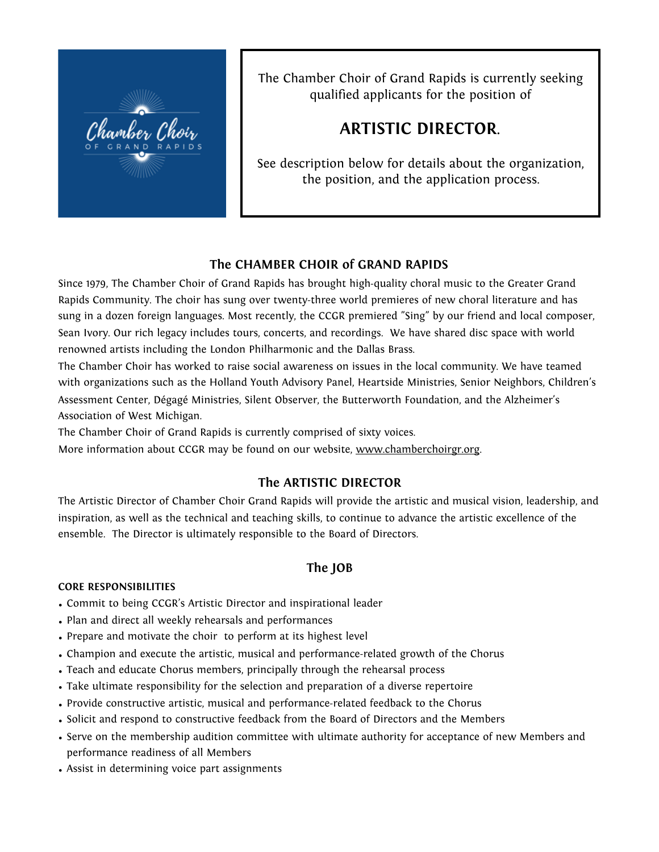

The Chamber Choir of Grand Rapids is currently seeking qualified applicants for the position of

# **ARTISTIC DIRECTOR**.

See description below for details about the organization, the position, and the application process.

# **The CHAMBER CHOIR of GRAND RAPIDS**

Since 1979, The Chamber Choir of Grand Rapids has brought high-quality choral music to the Greater Grand Rapids Community. The choir has sung over twenty-three world premieres of new choral literature and has sung in a dozen foreign languages. Most recently, the CCGR premiered "Sing" by our friend and local composer, Sean Ivory. Our rich legacy includes tours, concerts, and recordings. We have shared disc space with world renowned artists including the London Philharmonic and the Dallas Brass.

The Chamber Choir has worked to raise social awareness on issues in the local community. We have teamed with organizations such as the Holland Youth Advisory Panel, Heartside Ministries, Senior Neighbors, Children's Assessment Center, Dégagé Ministries, Silent Observer, the Butterworth Foundation, and the Alzheimer's Association of West Michigan.

The Chamber Choir of Grand Rapids is currently comprised of sixty voices.

More information about CCGR may be found on our website, [www.chamberchoirgr.org.](http://www.chamberchoirgr.org)

# **The ARTISTIC DIRECTOR**

The Artistic Director of Chamber Choir Grand Rapids will provide the artistic and musical vision, leadership, and inspiration, as well as the technical and teaching skills, to continue to advance the artistic excellence of the ensemble. The Director is ultimately responsible to the Board of Directors.

# **The JOB**

#### **CORE RESPONSIBILITIES**

- Commit to being CCGR's Artistic Director and inspirational leader
- Plan and direct all weekly rehearsals and performances
- Prepare and motivate the choir to perform at its highest level
- Champion and execute the artistic, musical and performance-related growth of the Chorus
- Teach and educate Chorus members, principally through the rehearsal process
- Take ultimate responsibility for the selection and preparation of a diverse repertoire
- Provide constructive artistic, musical and performance-related feedback to the Chorus
- Solicit and respond to constructive feedback from the Board of Directors and the Members
- Serve on the membership audition committee with ultimate authority for acceptance of new Members and performance readiness of all Members
- Assist in determining voice part assignments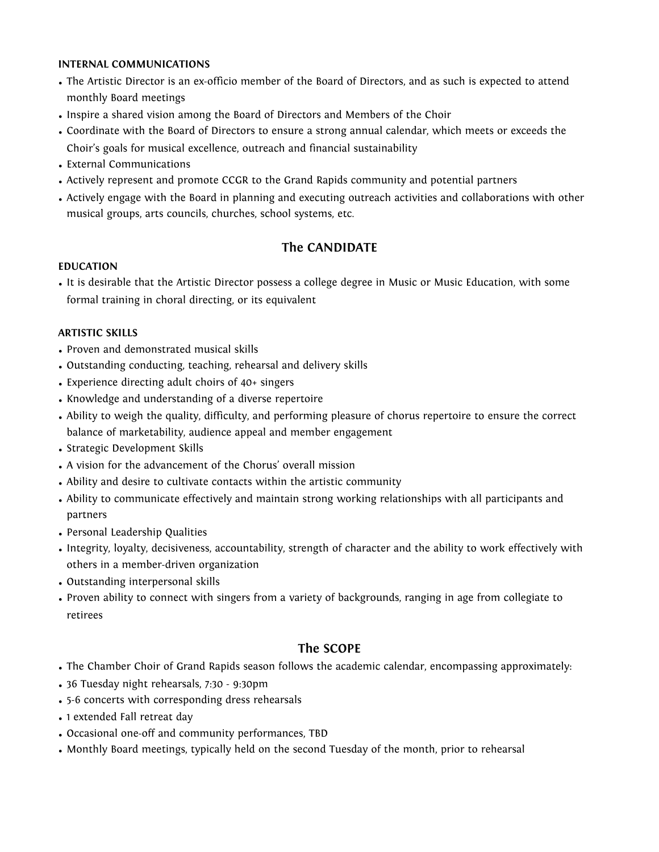#### **INTERNAL COMMUNICATIONS**

- The Artistic Director is an ex-officio member of the Board of Directors, and as such is expected to attend monthly Board meetings
- Inspire a shared vision among the Board of Directors and Members of the Choir
- Coordinate with the Board of Directors to ensure a strong annual calendar, which meets or exceeds the Choir's goals for musical excellence, outreach and financial sustainability
- External Communications
- Actively represent and promote CCGR to the Grand Rapids community and potential partners
- Actively engage with the Board in planning and executing outreach activities and collaborations with other musical groups, arts councils, churches, school systems, etc.

## **The CANDIDATE**

#### **EDUCATION**

• It is desirable that the Artistic Director possess a college degree in Music or Music Education, with some formal training in choral directing, or its equivalent

#### **ARTISTIC SKILLS**

- Proven and demonstrated musical skills
- Outstanding conducting, teaching, rehearsal and delivery skills
- Experience directing adult choirs of 40+ singers
- Knowledge and understanding of a diverse repertoire
- Ability to weigh the quality, difficulty, and performing pleasure of chorus repertoire to ensure the correct balance of marketability, audience appeal and member engagement
- Strategic Development Skills
- A vision for the advancement of the Chorus' overall mission
- Ability and desire to cultivate contacts within the artistic community
- Ability to communicate effectively and maintain strong working relationships with all participants and partners
- Personal Leadership Qualities
- Integrity, loyalty, decisiveness, accountability, strength of character and the ability to work effectively with others in a member-driven organization
- Outstanding interpersonal skills
- Proven ability to connect with singers from a variety of backgrounds, ranging in age from collegiate to retirees

#### **The SCOPE**

- The Chamber Choir of Grand Rapids season follows the academic calendar, encompassing approximately:
- 36 Tuesday night rehearsals, 7:30 9:30pm
- 5-6 concerts with corresponding dress rehearsals
- 1 extended Fall retreat day
- Occasional one-off and community performances, TBD
- Monthly Board meetings, typically held on the second Tuesday of the month, prior to rehearsal